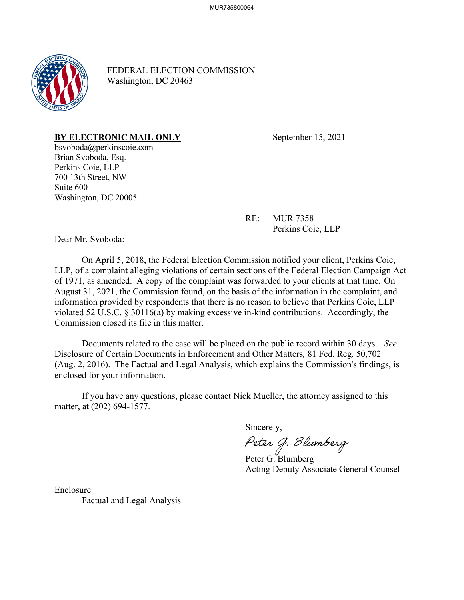

FEDERAL ELECTION COMMISSION Washington, DC 20463

## **BY ELECTRONIC MAIL ONLY** September 15, 2021

bsvoboda@perkinscoie.com Brian Svoboda, Esq. Perkins Coie, LLP 700 13th Street, NW Suite 600 Washington, DC 20005

RE: MUR 7358

Perkins Coie, LLP

Dear Mr. Svoboda:

On April 5, 2018, the Federal Election Commission notified your client, Perkins Coie, LLP, of a complaint alleging violations of certain sections of the Federal Election Campaign Act of 1971, as amended. A copy of the complaint was forwarded to your clients at that time. On August 31, 2021, the Commission found, on the basis of the information in the complaint, and information provided by respondents that there is no reason to believe that Perkins Coie, LLP violated 52 U.S.C. § 30116(a) by making excessive in-kind contributions. Accordingly, the Commission closed its file in this matter.

Documents related to the case will be placed on the public record within 30 days. *See* Disclosure of Certain Documents in Enforcement and Other Matters*,* 81 Fed. Reg. 50,702 (Aug. 2, 2016). The Factual and Legal Analysis, which explains the Commission's findings, is enclosed for your information.

If you have any questions, please contact Nick Mueller, the attorney assigned to this matter, at (202) 694-1577.

Sincerely,<br>*Peter G. Blumberg* 

 Peter G. Blumberg Acting Deputy Associate General Counsel

Enclosure Factual and Legal Analysis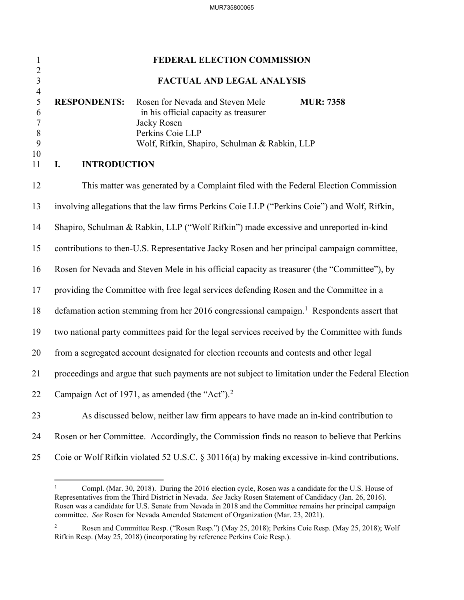| $\mathbf{1}$                                                          | FEDERAL ELECTION COMMISSION                                                                                                                                                                                                           |  |
|-----------------------------------------------------------------------|---------------------------------------------------------------------------------------------------------------------------------------------------------------------------------------------------------------------------------------|--|
| $\frac{2}{3}$                                                         | FACTUAL AND LEGAL ANALYSIS                                                                                                                                                                                                            |  |
| $\overline{4}$<br>5<br>6<br>$\overline{7}$<br>$\, 8$<br>9<br>10<br>11 | <b>RESPONDENTS:</b><br>Rosen for Nevada and Steven Mele<br><b>MUR: 7358</b><br>in his official capacity as treasurer<br>Jacky Rosen<br>Perkins Coie LLP<br>Wolf, Rifkin, Shapiro, Schulman & Rabkin, LLP<br><b>INTRODUCTION</b><br>I. |  |
|                                                                       |                                                                                                                                                                                                                                       |  |
| 12                                                                    | This matter was generated by a Complaint filed with the Federal Election Commission                                                                                                                                                   |  |
| 13                                                                    | involving allegations that the law firms Perkins Coie LLP ("Perkins Coie") and Wolf, Rifkin,                                                                                                                                          |  |
| 14                                                                    | Shapiro, Schulman & Rabkin, LLP ("Wolf Rifkin") made excessive and unreported in-kind                                                                                                                                                 |  |
| 15                                                                    | contributions to then-U.S. Representative Jacky Rosen and her principal campaign committee,                                                                                                                                           |  |
| 16                                                                    | Rosen for Nevada and Steven Mele in his official capacity as treasurer (the "Committee"), by                                                                                                                                          |  |
| 17                                                                    | providing the Committee with free legal services defending Rosen and the Committee in a                                                                                                                                               |  |
| 18                                                                    | defamation action stemming from her 2016 congressional campaign. <sup>1</sup> Respondents assert that                                                                                                                                 |  |
| 19                                                                    | two national party committees paid for the legal services received by the Committee with funds                                                                                                                                        |  |
| 20                                                                    | from a segregated account designated for election recounts and contests and other legal                                                                                                                                               |  |
| 21                                                                    | proceedings and argue that such payments are not subject to limitation under the Federal Election                                                                                                                                     |  |
| 22                                                                    | Campaign Act of 1971, as amended (the "Act"). $2$                                                                                                                                                                                     |  |
| 23                                                                    | As discussed below, neither law firm appears to have made an in-kind contribution to                                                                                                                                                  |  |
| 24                                                                    | Rosen or her Committee. Accordingly, the Commission finds no reason to believe that Perkins                                                                                                                                           |  |
| 25                                                                    | Coie or Wolf Rifkin violated 52 U.S.C. § 30116(a) by making excessive in-kind contributions.                                                                                                                                          |  |

<span id="page-1-0"></span><sup>1</sup> Compl. (Mar. 30, 2018). During the 2016 election cycle, Rosen was a candidate for the U.S. House of Representatives from the Third District in Nevada. *See* Jacky Rosen Statement of Candidacy (Jan. 26, 2016). Rosen was a candidate for U.S. Senate from Nevada in 2018 and the Committee remains her principal campaign committee. *See* Rosen for Nevada Amended Statement of Organization (Mar. 23, 2021).

<span id="page-1-1"></span><sup>2</sup> Rosen and Committee Resp. ("Rosen Resp.") (May 25, 2018); Perkins Coie Resp. (May 25, 2018); Wolf Rifkin Resp. (May 25, 2018) (incorporating by reference Perkins Coie Resp.).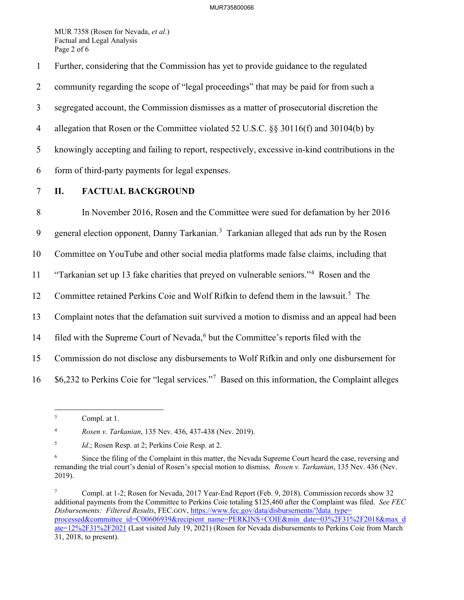MUR 7358 (Rosen for Nevada, *et al*.) Factual and Legal Analysis Page 2 of 6

1 Further, considering that the Commission has yet to provide guidance to the regulated

2 community regarding the scope of "legal proceedings" that may be paid for from such a

3 segregated account, the Commission dismisses as a matter of prosecutorial discretion the

4 allegation that Rosen or the Committee violated 52 U.S.C. §§ 30116(f) and 30104(b) by

5 knowingly accepting and failing to report, respectively, excessive in-kind contributions in the

- 6 form of third-party payments for legal expenses.
- 

## 7 **II. FACTUAL BACKGROUND**

8 In November 2016, Rosen and the Committee were sued for defamation by her 2016 9 general election opponent, Danny Tarkanian.<sup>[3](#page-2-0)</sup> Tarkanian alleged that ads run by the Rosen 10 Committee on YouTube and other social media platforms made false claims, including that <sup>11</sup> "Tarkanian set up 13 fake charities that preyed on vulnerable seniors."<sup>4</sup> Rosen and the 12 Committee retained Perkins Coie and Wolf Rifkin to defend them in the lawsuit.<sup>[5](#page-2-2)</sup> The 13 Complaint notes that the defamation suit survived a motion to dismiss and an appeal had been 14 filed with the Supreme Court of Nevada,<sup>[6](#page-2-3)</sup> but the Committee's reports filed with the 15 Commission do not disclose any disbursements to Wolf Rifkin and only one disbursement for  $16$  \$6,232 to Perkins Coie for "legal services."<sup>[7](#page-2-4)</sup> Based on this information, the Complaint alleges

<span id="page-2-1"></span>4 *Rosen v. Tarkanian*, 135 Nev. 436, 437-438 (Nev. 2019).

<span id="page-2-0"></span><sup>3</sup> Compl. at 1.

<span id="page-2-2"></span><sup>5</sup> *Id.*; Rosen Resp. at 2; Perkins Coie Resp. at 2.

<span id="page-2-3"></span><sup>6</sup> Since the filing of the Complaint in this matter, the Nevada Supreme Court heard the case, reversing and remanding the trial court's denial of Rosen's special motion to dismiss. *Rosen v. Tarkanian*, 135 Nev. 436 (Nev. 2019).

<span id="page-2-4"></span><sup>7</sup> Compl. at 1-2; Rosen for Nevada, 2017 Year-End Report (Feb. 9, 2018). Commission records show 32 additional payments from the Committee to Perkins Coie totaling \$125,460 after the Complaint was filed. *See FEC Disbursements: Filtered Results*, FEC.GOV[, https://www.fec.gov/data/disbursements/?data\\_type=](https://www.fec.gov/data/disbursements/?data_type=%E2%80%8Cprocessed&committee_id=C00606939&recipient_name=PERKINS+COIE&min_date=03%2F31%2F2018&max_date=12%2F31%2F2021) [processed&committee\\_id=C00606939&recipient\\_name=PERKINS+COIE&min\\_date=03%2F31%2F2018&max\\_d](https://www.fec.gov/data/disbursements/?data_type=%E2%80%8Cprocessed&committee_id=C00606939&recipient_name=PERKINS+COIE&min_date=03%2F31%2F2018&max_date=12%2F31%2F2021) [ate=12%2F31%2F2021](https://www.fec.gov/data/disbursements/?data_type=%E2%80%8Cprocessed&committee_id=C00606939&recipient_name=PERKINS+COIE&min_date=03%2F31%2F2018&max_date=12%2F31%2F2021) (Last visited July 19, 2021) (Rosen for Nevada disbursements to Perkins Coie from March 31, 2018, to present).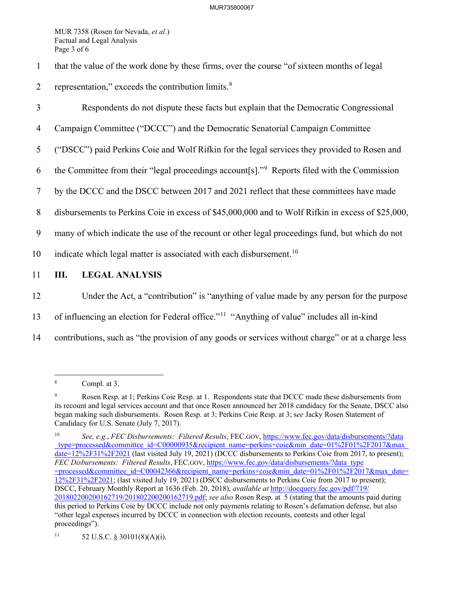MUR 7358 (Rosen for Nevada, *et al*.) Factual and Legal Analysis Page 3 of 6

- 1 that the value of the work done by these firms, over the course "of sixteen months of legal
- 2 representation," exceeds the contribution limits. $8 \times 10^{-10}$  $8 \times 10^{-10}$
- 3 Respondents do not dispute these facts but explain that the Democratic Congressional
- 4 Campaign Committee ("DCCC") and the Democratic Senatorial Campaign Committee
- 5 ("DSCC") paid Perkins Coie and Wolf Rifkin for the legal services they provided to Rosen and
- 6 the Committee from their "legal proceedings account  $[s]$ ." Reports filed with the Commission
- 7 by the DCCC and the DSCC between 2017 and 2021 reflect that these committees have made
- 8 disbursements to Perkins Coie in excess of \$45,000,000 and to Wolf Rifkin in excess of \$25,000,
- 9 many of which indicate the use of the recount or other legal proceedings fund, but which do not
- [10](#page-3-2) indicate which legal matter is associated with each disbursement.<sup>10</sup>
- 11 **III. LEGAL ANALYSIS**
- 12 Under the Act, a "contribution" is "anything of value made by any person for the purpose
- 13 of influencing an election for Federal office."<sup>[11](#page-3-3)</sup> "Anything of value" includes all in-kind
- 14 contributions, such as "the provision of any goods or services without charge" or at a charge less

<span id="page-3-0"></span><sup>8</sup> Compl. at 3.

<span id="page-3-1"></span><sup>9</sup> Rosen Resp. at 1; Perkins Coie Resp. at 1. Respondents state that DCCC made these disbursements from its recount and legal services account and that once Rosen announced her 2018 candidacy for the Senate, DSCC also began making such disbursements. Rosen Resp. at 3; Perkins Coie Resp. at 3; s*ee* Jacky Rosen Statement of Candidacy for U.S. Senate (July 7, 2017).

<span id="page-3-2"></span><sup>10</sup> *See, e.g.*, *FEC Disbursements: Filtered Results*, FEC.GOV, https://www.fec.gov/data/disbursements/?data \_type=processed&committee\_id=C00000935&recipient\_name=perkins+coie&min\_date=01%2F01%2F2017&max\_ date=12%2F31%2F2021 (last visited July 19, 2021) (DCCC disbursements to Perkins Coie from 2017, to present); *FEC Disbursements: Filtered Results*, FEC.GOV, https://www.fec.gov/data/disbursements/?data\_type =processed&committee\_id=C00042366&recipient\_name=perkins+coie&min\_date=01%2F01%2F2017&max\_date= 12%2F31%2F2021; (last visited July 19, 2021) (DSCC disbursements to Perkins Coie from 2017 to present); DSCC, February Monthly Report at 1636 (Feb. 20, 2018), *available at* [http://docquery.fec.gov/pdf/719/](http://docquery.fec.gov/pdf/719/201802200200162719%E2%80%8C/201802200200162719.pdf) [201802200200162719/201802200200162719.pdf;](http://docquery.fec.gov/pdf/719/201802200200162719%E2%80%8C/201802200200162719.pdf) *see also* Rosen Resp. at 5 (stating that the amounts paid during this period to Perkins Coie by DCCC include not only payments relating to Rosen's defamation defense, but also "other legal expenses incurred by DCCC in connection with election recounts, contests and other legal proceedings").

<span id="page-3-3"></span><sup>11 52</sup> U.S.C. § 30101(8)(A)(i).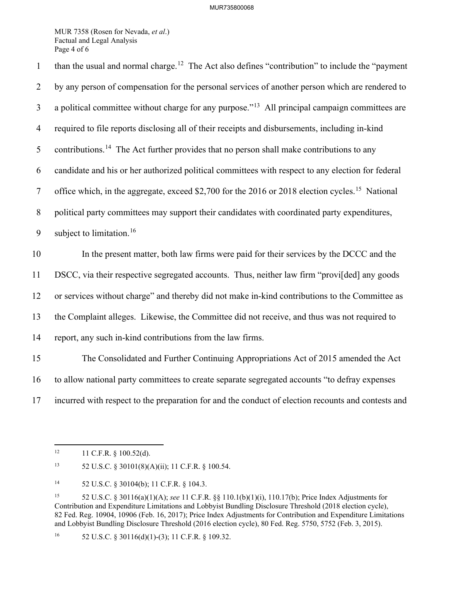MUR 7358 (Rosen for Nevada, *et al*.) Factual and Legal Analysis Page 4 of 6

than the usual and normal charge.<sup>[12](#page-4-0)</sup> The Act also defines "contribution" to include the "payment" 2 by any person of compensation for the personal services of another person which are rendered to  $\alpha$  a political committee without charge for any purpose.<sup> $13$ </sup> All principal campaign committees are 4 required to file reports disclosing all of their receipts and disbursements, including in-kind 5 contributions.<sup>[14](#page-4-2)</sup> The Act further provides that no person shall make contributions to any 6 candidate and his or her authorized political committees with respect to any election for federal 7 office which, in the aggregate, exceed \$2,700 for the 2016 or 2018 election cycles.<sup>[15](#page-4-3)</sup> National 8 political party committees may support their candidates with coordinated party expenditures, 9 subject to limitation.<sup>[16](#page-4-4)</sup> 10 In the present matter, both law firms were paid for their services by the DCCC and the 11 DSCC, via their respective segregated accounts. Thus, neither law firm "provi[ded] any goods 12 or services without charge" and thereby did not make in-kind contributions to the Committee as 13 the Complaint alleges. Likewise, the Committee did not receive, and thus was not required to 14 report, any such in-kind contributions from the law firms. 15 The Consolidated and Further Continuing Appropriations Act of 2015 amended the Act 16 to allow national party committees to create separate segregated accounts "to defray expenses 17 incurred with respect to the preparation for and the conduct of election recounts and contests and

<span id="page-4-0"></span> $12$  11 C.F.R. § 100.52(d).

<span id="page-4-1"></span><sup>13 52</sup> U.S.C. § 30101(8)(A)(ii); 11 C.F.R. § 100.54.

<span id="page-4-2"></span><sup>14 52</sup> U.S.C. § 30104(b); 11 C.F.R. § 104.3.

<span id="page-4-3"></span><sup>15 52</sup> U.S.C. § 30116(a)(1)(A); *see* 11 C.F.R. §§ 110.1(b)(1)(i), 110.17(b); Price Index Adjustments for Contribution and Expenditure Limitations and Lobbyist Bundling Disclosure Threshold (2018 election cycle), 82 Fed. Reg. 10904, 10906 (Feb. 16, 2017); Price Index Adjustments for Contribution and Expenditure Limitations and Lobbyist Bundling Disclosure Threshold (2016 election cycle), 80 Fed. Reg. 5750, 5752 (Feb. 3, 2015).

<span id="page-4-4"></span><sup>&</sup>lt;sup>16</sup> 52 U.S.C. § 30116(d)(1)-(3); 11 C.F.R. § 109.32.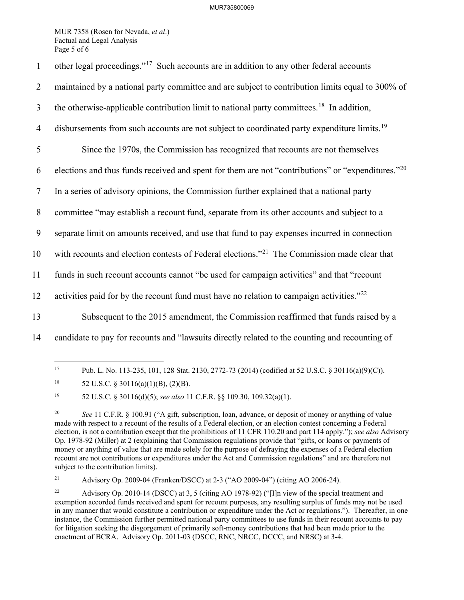## MUR735800069

MUR 7358 (Rosen for Nevada, *et al*.) Factual and Legal Analysis Page 5 of 6

| $\mathbf{1}$   | other legal proceedings." <sup>17</sup> Such accounts are in addition to any other federal accounts           |
|----------------|---------------------------------------------------------------------------------------------------------------|
| $\overline{2}$ | maintained by a national party committee and are subject to contribution limits equal to 300% of              |
| $\mathfrak{Z}$ | the otherwise-applicable contribution limit to national party committees. <sup>18</sup> In addition,          |
| $\overline{4}$ | disbursements from such accounts are not subject to coordinated party expenditure limits. <sup>19</sup>       |
| 5              | Since the 1970s, the Commission has recognized that recounts are not themselves                               |
| 6              | elections and thus funds received and spent for them are not "contributions" or "expenditures." <sup>20</sup> |
| $\tau$         | In a series of advisory opinions, the Commission further explained that a national party                      |
| $\, 8$         | committee "may establish a recount fund, separate from its other accounts and subject to a                    |
| 9              | separate limit on amounts received, and use that fund to pay expenses incurred in connection                  |
| 10             | with recounts and election contests of Federal elections." <sup>21</sup> The Commission made clear that       |
| 11             | funds in such recount accounts cannot "be used for campaign activities" and that "recount                     |
| 12             | activities paid for by the recount fund must have no relation to campaign activities." $^{22}$                |
| 13             | Subsequent to the 2015 amendment, the Commission reaffirmed that funds raised by a                            |
| 14             | candidate to pay for recounts and "lawsuits directly related to the counting and recounting of                |
|                |                                                                                                               |

<span id="page-5-0"></span><sup>17</sup> Pub. L. No. 113-235, 101, 128 Stat. 2130, 2772-73 (2014) (codified at 52 U.S.C. § 30116(a)(9)(C)).

<span id="page-5-2"></span>19 52 U.S.C. § 30116(d)(5); *see also* 11 C.F.R. §§ 109.30, 109.32(a)(1).

<span id="page-5-4"></span>21 Advisory Op. 2009-04 (Franken/DSCC) at 2-3 ("AO 2009-04") (citing AO 2006-24).

<span id="page-5-1"></span><sup>&</sup>lt;sup>18</sup> 52 U.S.C. § 30116(a)(1)(B), (2)(B).

<span id="page-5-3"></span><sup>&</sup>lt;sup>20</sup> *See* 11 C.F.R. § 100.91 ("A gift, subscription, loan, advance, or deposit of money or anything of value made with respect to a recount of the results of a Federal election, or an election contest concerning a Federal election, is not a contribution except that the prohibitions of 11 CFR 110.20 and part 114 apply."); *see also* Advisory Op. 1978-92 (Miller) at 2 (explaining that Commission regulations provide that "gifts, or loans or payments of money or anything of value that are made solely for the purpose of defraying the expenses of a Federal election recount are not contributions or expenditures under the Act and Commission regulations" and are therefore not subject to the contribution limits).

<span id="page-5-5"></span><sup>22</sup> Advisory Op. 2010-14 (DSCC) at 3, 5 (citing AO 1978-92) ("[I]n view of the special treatment and exemption accorded funds received and spent for recount purposes, any resulting surplus of funds may not be used in any manner that would constitute a contribution or expenditure under the Act or regulations."). Thereafter, in one instance, the Commission further permitted national party committees to use funds in their recount accounts to pay for litigation seeking the disgorgement of primarily soft-money contributions that had been made prior to the enactment of BCRA. Advisory Op. 2011-03 (DSCC, RNC, NRCC, DCCC, and NRSC) at 3-4.